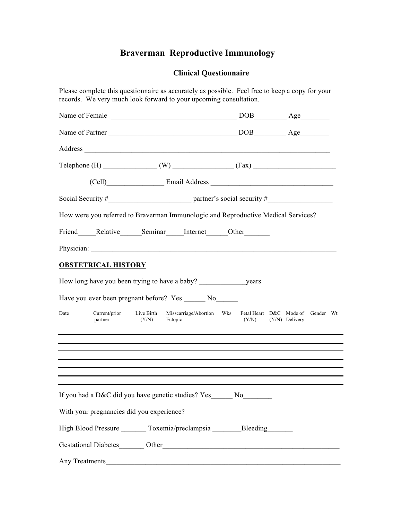# **Braverman Reproductive Immunology**

## **Clinical Questionnaire**

| Please complete this questionnaire as accurately as possible. Feel free to keep a copy for your<br>records. We very much look forward to your upcoming consultation.                                                                 |         |       |                                                                               |
|--------------------------------------------------------------------------------------------------------------------------------------------------------------------------------------------------------------------------------------|---------|-------|-------------------------------------------------------------------------------|
|                                                                                                                                                                                                                                      |         |       |                                                                               |
|                                                                                                                                                                                                                                      |         |       |                                                                               |
| Address and the contract of the contract of the contract of the contract of the contract of the contract of the contract of the contract of the contract of the contract of the contract of the contract of the contract of th       |         |       |                                                                               |
|                                                                                                                                                                                                                                      |         |       |                                                                               |
|                                                                                                                                                                                                                                      |         |       |                                                                               |
|                                                                                                                                                                                                                                      |         |       |                                                                               |
| How were you referred to Braverman Immunologic and Reproductive Medical Services?                                                                                                                                                    |         |       |                                                                               |
| Friend Relative Seminar Internet Other                                                                                                                                                                                               |         |       |                                                                               |
| Physician: <u>contract the contract of the contract of the contract of the contract of the contract of the contract of the contract of the contract of the contract of the contract of the contract of the contract of the contr</u> |         |       |                                                                               |
| <b>OBSTETRICAL HISTORY</b>                                                                                                                                                                                                           |         |       |                                                                               |
|                                                                                                                                                                                                                                      |         |       |                                                                               |
| Have you ever been pregnant before? Yes ________ No_______                                                                                                                                                                           |         |       |                                                                               |
| Current/prior Live Birth<br>Date<br>(Y/N)<br>partner                                                                                                                                                                                 | Ectopic | (Y/N) | Misscarriage/Abortion Wks Fetal Heart D&C Mode of Gender Wt<br>(Y/N) Delivery |
| ,我们也不会有什么。""我们的人,我们也不会有什么?""我们的人,我们也不会有什么?""我们的人,我们也不会有什么?""我们的人,我们也不会有什么?""我们的人                                                                                                                                                     |         |       |                                                                               |
|                                                                                                                                                                                                                                      |         |       |                                                                               |
| If you had a D&C did you have genetic studies? Yes_______ No_________                                                                                                                                                                |         |       |                                                                               |
| With your pregnancies did you experience?                                                                                                                                                                                            |         |       |                                                                               |
| High Blood Pressure ________ Toxemia/preclampsia ________ Bleeding _______                                                                                                                                                           |         |       |                                                                               |
|                                                                                                                                                                                                                                      |         |       |                                                                               |
| Any Treatments                                                                                                                                                                                                                       |         |       |                                                                               |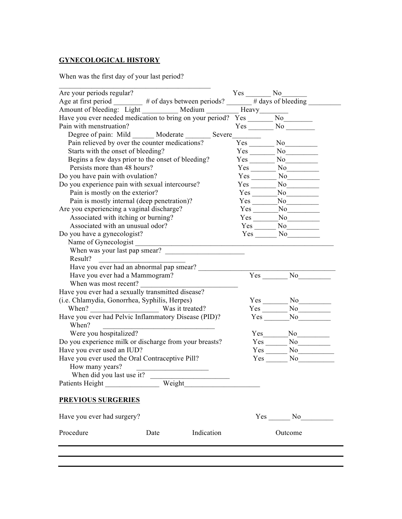## **GYNECOLOGICAL HISTORY**

When was the first day of your last period?

| Are your periods regular?<br>Age at first period $\frac{\text{Yes}}{\text{Yes}}$ No $\frac{\text{No}}{\text{Steding}}$ |      |                                                                                                                                                                                                                                                                                                                                                                                                                                                                                        |                          |
|------------------------------------------------------------------------------------------------------------------------|------|----------------------------------------------------------------------------------------------------------------------------------------------------------------------------------------------------------------------------------------------------------------------------------------------------------------------------------------------------------------------------------------------------------------------------------------------------------------------------------------|--------------------------|
| Amount of bleeding: Light _________ Medium _______ Heavy_______                                                        |      |                                                                                                                                                                                                                                                                                                                                                                                                                                                                                        |                          |
| Have you ever needed medication to bring on your period? Yes ______                                                    |      |                                                                                                                                                                                                                                                                                                                                                                                                                                                                                        | $N_0$                    |
| Pain with menstruation?                                                                                                |      |                                                                                                                                                                                                                                                                                                                                                                                                                                                                                        | $Yes$ No $\qquad$        |
| Degree of pain: Mild ______ Moderate _______ Severe_______                                                             |      |                                                                                                                                                                                                                                                                                                                                                                                                                                                                                        |                          |
| Pain relieved by over the counter medications?                                                                         |      |                                                                                                                                                                                                                                                                                                                                                                                                                                                                                        | $Yes$ No $No$            |
| Starts with the onset of bleeding?                                                                                     |      |                                                                                                                                                                                                                                                                                                                                                                                                                                                                                        | $Yes \t No$              |
| Begins a few days prior to the onset of bleeding?                                                                      |      |                                                                                                                                                                                                                                                                                                                                                                                                                                                                                        | $Yes$ No $\qquad$        |
| Persists more than 48 hours?                                                                                           |      |                                                                                                                                                                                                                                                                                                                                                                                                                                                                                        | $Yes$ No                 |
| Do you have pain with ovulation?                                                                                       |      |                                                                                                                                                                                                                                                                                                                                                                                                                                                                                        | $Yes$ No                 |
| Do you experience pain with sexual intercourse?                                                                        |      |                                                                                                                                                                                                                                                                                                                                                                                                                                                                                        | $Yes \t No$              |
| Pain is mostly on the exterior?                                                                                        |      |                                                                                                                                                                                                                                                                                                                                                                                                                                                                                        | $Yes$ No $\qquad$        |
| Pain is mostly internal (deep penetration)?                                                                            |      |                                                                                                                                                                                                                                                                                                                                                                                                                                                                                        | $Yes$ No                 |
| Are you experiencing a vaginal discharge?                                                                              |      |                                                                                                                                                                                                                                                                                                                                                                                                                                                                                        | $Yes$ No $No$            |
| Associated with itching or burning?                                                                                    |      |                                                                                                                                                                                                                                                                                                                                                                                                                                                                                        | Yes No                   |
| Associated with an unusual odor?                                                                                       |      |                                                                                                                                                                                                                                                                                                                                                                                                                                                                                        | $Yes \tNo$               |
| Do you have a gynecologist?                                                                                            |      |                                                                                                                                                                                                                                                                                                                                                                                                                                                                                        | Yes No No                |
| Name of Gynecologist                                                                                                   |      |                                                                                                                                                                                                                                                                                                                                                                                                                                                                                        |                          |
| When was your last pap smear?                                                                                          |      |                                                                                                                                                                                                                                                                                                                                                                                                                                                                                        |                          |
| Result?                                                                                                                |      |                                                                                                                                                                                                                                                                                                                                                                                                                                                                                        |                          |
| Have you ever had an abnormal pap smear?                                                                               |      |                                                                                                                                                                                                                                                                                                                                                                                                                                                                                        |                          |
| Have you ever had a Mammogram?                                                                                         |      |                                                                                                                                                                                                                                                                                                                                                                                                                                                                                        | $Yes$ No                 |
| When was most recent?                                                                                                  |      |                                                                                                                                                                                                                                                                                                                                                                                                                                                                                        |                          |
| Have you ever had a sexually transmitted disease?                                                                      |      |                                                                                                                                                                                                                                                                                                                                                                                                                                                                                        |                          |
| (i.e. Chlamydia, Gonorrhea, Syphilis, Herpes)                                                                          |      |                                                                                                                                                                                                                                                                                                                                                                                                                                                                                        | $Yes$ No                 |
| When? Was it treated?                                                                                                  |      |                                                                                                                                                                                                                                                                                                                                                                                                                                                                                        | $Yes \_\_No \_\_No \_\_$ |
| Have you ever had Pelvic Inflammatory Disease (PID)?<br>When?                                                          |      |                                                                                                                                                                                                                                                                                                                                                                                                                                                                                        |                          |
| Were you hospitalized?                                                                                                 |      |                                                                                                                                                                                                                                                                                                                                                                                                                                                                                        | No                       |
| Do you experience milk or discharge from your breasts?                                                                 |      |                                                                                                                                                                                                                                                                                                                                                                                                                                                                                        | $Yes$ $No$               |
| Have you ever used an IUD?                                                                                             |      |                                                                                                                                                                                                                                                                                                                                                                                                                                                                                        | $Yes \t No$              |
| Have you ever used the Oral Contraceptive Pill?<br>How many years?                                                     |      |                                                                                                                                                                                                                                                                                                                                                                                                                                                                                        | Yes No                   |
| When did you last use it?                                                                                              |      | $\begin{array}{cccccccccc} \multicolumn{2}{c}{} & \multicolumn{2}{c}{} & \multicolumn{2}{c}{} & \multicolumn{2}{c}{} & \multicolumn{2}{c}{} & \multicolumn{2}{c}{} & \multicolumn{2}{c}{} & \multicolumn{2}{c}{} & \multicolumn{2}{c}{} & \multicolumn{2}{c}{} & \multicolumn{2}{c}{} & \multicolumn{2}{c}{} & \multicolumn{2}{c}{} & \multicolumn{2}{c}{} & \multicolumn{2}{c}{} & \multicolumn{2}{c}{} & \multicolumn{2}{c}{} & \multicolumn{2}{c}{} & \multicolumn{2}{c}{} & \mult$ |                          |
| Patients Height Weight Weight                                                                                          |      |                                                                                                                                                                                                                                                                                                                                                                                                                                                                                        |                          |
| <b>PREVIOUS SURGERIES</b>                                                                                              |      |                                                                                                                                                                                                                                                                                                                                                                                                                                                                                        |                          |
| Have you ever had surgery?                                                                                             |      |                                                                                                                                                                                                                                                                                                                                                                                                                                                                                        | $Yes$ No $No$            |
| Procedure                                                                                                              | Date | Indication                                                                                                                                                                                                                                                                                                                                                                                                                                                                             | Outcome                  |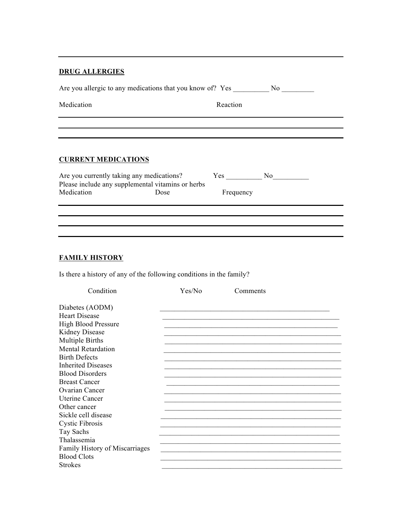### **DRUG ALLERGIES**

| Are you allergic to any medications that you know of? Yes | N <sub>0</sub> |  |  |  |
|-----------------------------------------------------------|----------------|--|--|--|
| Medication<br>Reaction                                    |                |  |  |  |
|                                                           |                |  |  |  |
| <b>CURRENT MEDICATIONS</b>                                |                |  |  |  |

| Are you currently taking any medications?         |      | Yes.      | Nο |
|---------------------------------------------------|------|-----------|----|
| Please include any supplemental vitamins or herbs |      |           |    |
| Medication                                        | Dose | Frequency |    |

## **FAMILY HISTORY**

Is there a history of any of the following conditions in the family?

| Condition                      | Yes/No | Comments |  |
|--------------------------------|--------|----------|--|
| Diabetes (AODM)                |        |          |  |
| <b>Heart Disease</b>           |        |          |  |
| <b>High Blood Pressure</b>     |        |          |  |
| Kidney Disease                 |        |          |  |
| Multiple Births                |        |          |  |
| <b>Mental Retardation</b>      |        |          |  |
| <b>Birth Defects</b>           |        |          |  |
| <b>Inherited Diseases</b>      |        |          |  |
| <b>Blood Disorders</b>         |        |          |  |
| <b>Breast Cancer</b>           |        |          |  |
| Ovarian Cancer                 |        |          |  |
| <b>Uterine Cancer</b>          |        |          |  |
| Other cancer                   |        |          |  |
| Sickle cell disease            |        |          |  |
| <b>Cystic Fibrosis</b>         |        |          |  |
| Tay Sachs                      |        |          |  |
| Thalassemia                    |        |          |  |
| Family History of Miscarriages |        |          |  |
| <b>Blood Clots</b>             |        |          |  |
| <b>Strokes</b>                 |        |          |  |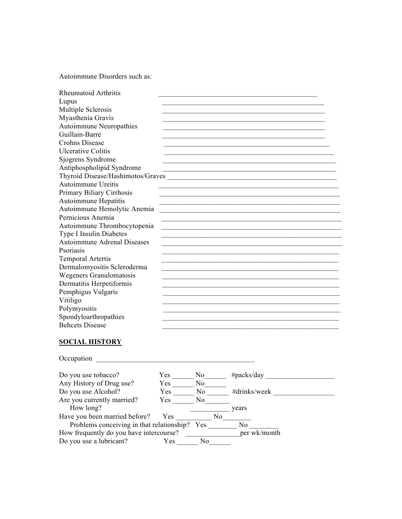Autoimmune Disorders such as:

| Rheumatoid Arthritis               |
|------------------------------------|
| Lupus                              |
| Multiple Sclerosis                 |
| Myasthenia Gravis                  |
| <b>Autoimmune Neuropathies</b>     |
| Guillain-Barre                     |
| <b>Crohns Disease</b>              |
| <b>Ulcerative Colitis</b>          |
| Sjogrens Syndrome                  |
| Antiphospholipid Syndrome          |
| Thyroid Disease/Hashimotos/Graves  |
| Autoimmune Ureitis                 |
| Primary Biliary Cirrhosis          |
| Autoimmune Hepatitis               |
| Autoimmune Hemolytic Anemia        |
| Pernicious Anemia                  |
| Autoimmune Thrombocytopenia        |
| Type I Insulin Diabetes            |
| <b>Autoimmune Adrenal Diseases</b> |
| Psoriasis                          |
| <b>Temporal Artertis</b>           |
| Dermalomyositis Scleroderma        |
| Wegeners Granulomatosis            |
| Dermatitis Herpetiformis           |
| Pemphigus Vulgaris                 |
| Vitiligo                           |
| Polymyositis                       |
| Spondyloarthropathies              |
| <b>Behcets Disease</b>             |

## **SOCIAL HISTORY**

| Occupation                                |      |                |                |
|-------------------------------------------|------|----------------|----------------|
| Do you use tobacco?                       | Yes. | No.            | $\#packs/day$  |
| Any History of Drug use?                  | Yes  | N <sub>0</sub> |                |
| Do you use Alcohol?                       | Yes  | N <sub>0</sub> | #drinks/week   |
| Are you currently married?                | Yes  | No.            |                |
| How long?                                 |      |                | years          |
| Have you been married before?             | Yes  | No             |                |
| Problems conceiving in that relationship? |      | <b>Yes</b>     | N <sub>0</sub> |
| How frequently do you have intercourse?   |      |                | per wk/month   |
| Do you use a lubricant?                   | Yes  | N <sub>0</sub> |                |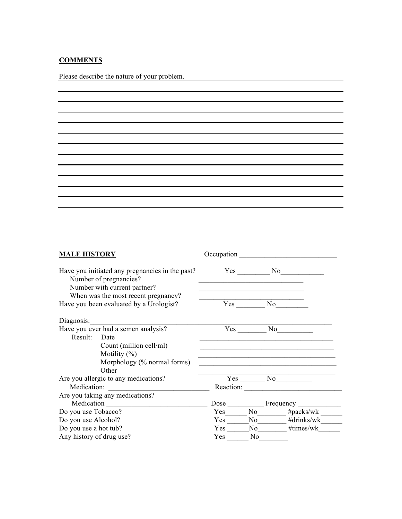## **COMMENTS**

Please describe the nature of your problem.

| Have you initiated any pregnancies in the past?<br>Yes No<br>Number of pregnancies?<br>Number with current partner?<br>When was the most recent pregnancy?<br>Yes No<br>Have you been evaluated by a Urologist?<br>Have you ever had a semen analysis?<br>No<br>$Yes$ <sub>--</sub><br>Result: Date<br>Count (million cell/ml)<br>Motility $(\%)$<br>Morphology $(\%$ normal forms)<br>Other<br>$Yes$ No $No$<br>Are you allergic to any medications?<br>Medication:<br>Reaction:<br><u> 1989 - Johann John Stone, mars eta biztanleria (</u><br>Are you taking any medications?<br>Medication<br>Dose Frequency<br>Yes No #packs/wk<br>Do you use Tobacco?<br>Yes<br>Do you use Alcohol?<br>No #drinks/wk<br>Yes<br>No #times/wk<br>Do you use a hot tub? | <b>MALE HISTORY</b> | Occupation |  |
|------------------------------------------------------------------------------------------------------------------------------------------------------------------------------------------------------------------------------------------------------------------------------------------------------------------------------------------------------------------------------------------------------------------------------------------------------------------------------------------------------------------------------------------------------------------------------------------------------------------------------------------------------------------------------------------------------------------------------------------------------------|---------------------|------------|--|
|                                                                                                                                                                                                                                                                                                                                                                                                                                                                                                                                                                                                                                                                                                                                                            |                     |            |  |
|                                                                                                                                                                                                                                                                                                                                                                                                                                                                                                                                                                                                                                                                                                                                                            |                     |            |  |
|                                                                                                                                                                                                                                                                                                                                                                                                                                                                                                                                                                                                                                                                                                                                                            |                     |            |  |
|                                                                                                                                                                                                                                                                                                                                                                                                                                                                                                                                                                                                                                                                                                                                                            |                     |            |  |
|                                                                                                                                                                                                                                                                                                                                                                                                                                                                                                                                                                                                                                                                                                                                                            |                     |            |  |
|                                                                                                                                                                                                                                                                                                                                                                                                                                                                                                                                                                                                                                                                                                                                                            |                     |            |  |
|                                                                                                                                                                                                                                                                                                                                                                                                                                                                                                                                                                                                                                                                                                                                                            |                     |            |  |
|                                                                                                                                                                                                                                                                                                                                                                                                                                                                                                                                                                                                                                                                                                                                                            |                     |            |  |
|                                                                                                                                                                                                                                                                                                                                                                                                                                                                                                                                                                                                                                                                                                                                                            |                     |            |  |
|                                                                                                                                                                                                                                                                                                                                                                                                                                                                                                                                                                                                                                                                                                                                                            |                     |            |  |
|                                                                                                                                                                                                                                                                                                                                                                                                                                                                                                                                                                                                                                                                                                                                                            |                     |            |  |
|                                                                                                                                                                                                                                                                                                                                                                                                                                                                                                                                                                                                                                                                                                                                                            |                     |            |  |
|                                                                                                                                                                                                                                                                                                                                                                                                                                                                                                                                                                                                                                                                                                                                                            |                     |            |  |
|                                                                                                                                                                                                                                                                                                                                                                                                                                                                                                                                                                                                                                                                                                                                                            |                     |            |  |
|                                                                                                                                                                                                                                                                                                                                                                                                                                                                                                                                                                                                                                                                                                                                                            |                     |            |  |
|                                                                                                                                                                                                                                                                                                                                                                                                                                                                                                                                                                                                                                                                                                                                                            |                     |            |  |
|                                                                                                                                                                                                                                                                                                                                                                                                                                                                                                                                                                                                                                                                                                                                                            |                     |            |  |
|                                                                                                                                                                                                                                                                                                                                                                                                                                                                                                                                                                                                                                                                                                                                                            |                     |            |  |
| Any history of drug use?<br>No.<br>Yes                                                                                                                                                                                                                                                                                                                                                                                                                                                                                                                                                                                                                                                                                                                     |                     |            |  |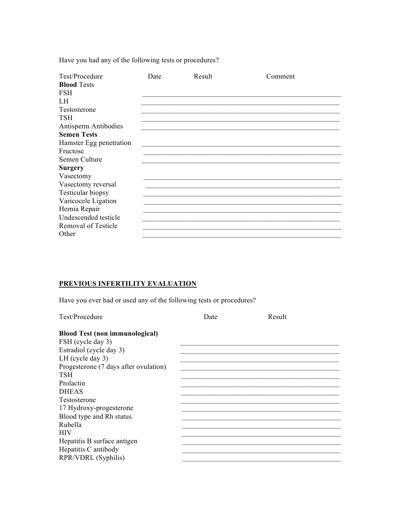Have you had any of the following tests or procedures?

| Test/Procedure          | Date | Result | Comment |
|-------------------------|------|--------|---------|
| <b>Blood Tests</b>      |      |        |         |
| <b>FSH</b>              |      |        |         |
| LH                      |      |        |         |
| Testosterone            |      |        |         |
| <b>TSH</b>              |      |        |         |
| Antisperm Antibodies    |      |        |         |
| <b>Semen Tests</b>      |      |        |         |
| Hamster Egg penetration |      |        |         |
| Fructose                |      |        |         |
| Semen Culture           |      |        |         |
| <b>Surgery</b>          |      |        |         |
| Vasectomy               |      |        |         |
| Vasectomy reversal      |      |        |         |
| Testicular biopsy       |      |        |         |
| Varicocele Ligation     |      |        |         |
| Hernia Repair           |      |        |         |
| Undescended testicle    |      |        |         |
| Removal of Testicle     |      |        |         |
| Other                   |      |        |         |

## PREVIOUS INFERTILITY EVALUATION

Have you ever had or used any of the following tests or procedures?

| Test/Procedure                        | Date | Result |  |
|---------------------------------------|------|--------|--|
| <b>Blood Test (non immunological)</b> |      |        |  |
| FSH (cycle day 3)                     |      |        |  |
| Estradiol (cycle day 3)               |      |        |  |
| LH (cycle day $3$ )                   |      |        |  |
| Progesterone (7 days after ovulation) |      |        |  |
| TSH                                   |      |        |  |
| Prolactin                             |      |        |  |
| <b>DHEAS</b>                          |      |        |  |
| Testosterone                          |      |        |  |
| 17 Hydroxy-progesterone               |      |        |  |
| Blood type and Rh status              |      |        |  |
| Rubella                               |      |        |  |
| <b>HIV</b>                            |      |        |  |
| Hepatitis B surface antigen           |      |        |  |
| Hepatitis C antibody                  |      |        |  |
| RPR/VDRL (Syphilis)                   |      |        |  |
|                                       |      |        |  |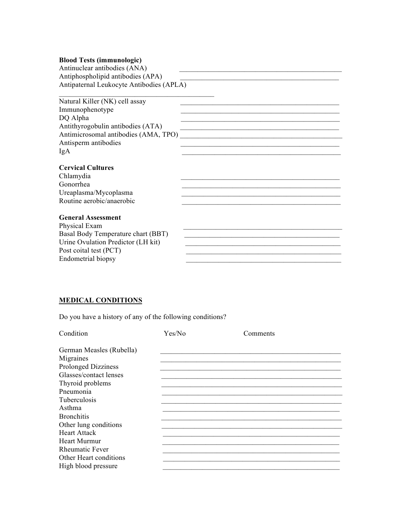#### **Blood Tests (immunologic)**

Antinuclear antibodies (ANA) Antiphospholipid antibodies  $(APA)$ Antipaternal Leukocyte Antibodies (APLA)

 $\overline{\phantom{a}}$  , where  $\overline{\phantom{a}}$  , where  $\overline{\phantom{a}}$  ,  $\overline{\phantom{a}}$  ,  $\overline{\phantom{a}}$  ,  $\overline{\phantom{a}}$  ,  $\overline{\phantom{a}}$  ,  $\overline{\phantom{a}}$  ,  $\overline{\phantom{a}}$  ,  $\overline{\phantom{a}}$  ,  $\overline{\phantom{a}}$  ,  $\overline{\phantom{a}}$  ,  $\overline{\phantom{a}}$  ,  $\overline{\phantom{a}}$  ,  $\overline{\phantom{a}}$  ,

#### **Cervical Cultures**

Chlamydia Gonorrhea Ureaplasma/Mycoplasma \_\_\_\_\_\_\_\_\_\_\_\_\_\_\_\_\_\_\_\_\_\_\_\_\_\_\_\_\_\_\_\_\_\_\_\_\_\_\_\_\_\_\_\_

#### **General Assessment**

Physical Exam Basal Body Temperature chart (BBT) \_\_\_\_\_\_\_\_\_\_\_\_\_\_\_\_\_\_\_\_\_\_\_\_\_\_\_\_\_\_\_\_\_\_\_\_\_\_\_\_\_\_\_ Urine Ovulation Predictor (LH kit) \_\_\_\_\_\_\_\_\_\_\_\_\_\_\_\_\_\_\_\_\_\_\_\_\_\_\_\_\_\_\_\_\_\_\_\_\_\_\_\_\_\_\_ Post coital test (PCT) Endometrial biopsy

#### **MEDICAL CONDITIONS**

Do you have a history of any of the following conditions?

| Condition                  | Yes/No | Comments |  |
|----------------------------|--------|----------|--|
| German Measles (Rubella)   |        |          |  |
| Migraines                  |        |          |  |
| <b>Prolonged Dizziness</b> |        |          |  |
| Glasses/contact lenses     |        |          |  |
| Thyroid problems           |        |          |  |
| Pneumonia                  |        |          |  |
| Tuberculosis               |        |          |  |
| Asthma                     |        |          |  |
| <b>Bronchitis</b>          |        |          |  |
| Other lung conditions      |        |          |  |
| Heart Attack               |        |          |  |
| <b>Heart Murmur</b>        |        |          |  |
| <b>Rheumatic Fever</b>     |        |          |  |
| Other Heart conditions     |        |          |  |
| High blood pressure        |        |          |  |
|                            |        |          |  |

 $R_{\rm max}$  are  $R_{\rm max}$  and  $R_{\rm max}$  are  $R_{\rm max}$  and  $R_{\rm max}$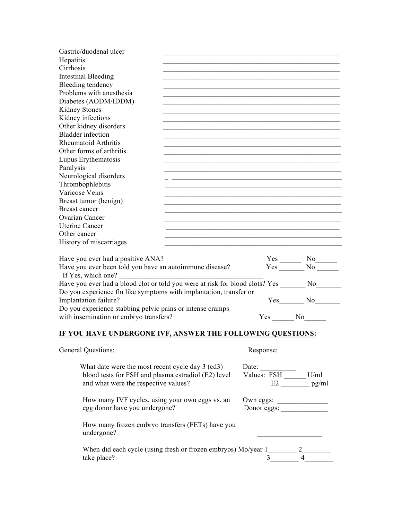| Gastric/duodenal ulcer                                                                          |                                                            |               |  |
|-------------------------------------------------------------------------------------------------|------------------------------------------------------------|---------------|--|
| Hepatitis                                                                                       |                                                            |               |  |
| Cirrhosis                                                                                       |                                                            |               |  |
| <b>Intestinal Bleeding</b>                                                                      |                                                            |               |  |
| Bleeding tendency                                                                               |                                                            |               |  |
| Problems with anesthesia                                                                        |                                                            |               |  |
| Diabetes (AODM/IDDM)                                                                            |                                                            |               |  |
| Kidney Stones                                                                                   |                                                            |               |  |
| Kidney infections                                                                               |                                                            |               |  |
| Other kidney disorders                                                                          |                                                            |               |  |
| <b>Bladder</b> infection                                                                        |                                                            |               |  |
| Rheumatoid Arthritis                                                                            |                                                            |               |  |
| Other forms of arthritis                                                                        |                                                            |               |  |
| Lupus Erythematosis                                                                             |                                                            |               |  |
| Paralysis                                                                                       |                                                            |               |  |
| Neurological disorders                                                                          |                                                            |               |  |
| Thrombophlebitis                                                                                |                                                            |               |  |
| Varicose Veins                                                                                  |                                                            |               |  |
| Breast tumor (benign)                                                                           |                                                            |               |  |
| <b>Breast cancer</b>                                                                            |                                                            |               |  |
| Ovarian Cancer                                                                                  |                                                            |               |  |
| <b>Uterine Cancer</b>                                                                           |                                                            |               |  |
| Other cancer                                                                                    |                                                            |               |  |
| History of miscarriages                                                                         |                                                            |               |  |
|                                                                                                 |                                                            |               |  |
| Have you ever had a positive ANA?                                                               |                                                            |               |  |
| Have you ever been told you have an autoimmune disease?                                         |                                                            |               |  |
| If Yes, which one?                                                                              |                                                            |               |  |
| Have you ever had a blood clot or told you were at risk for blood clots? Yes ________ No_______ |                                                            |               |  |
| Do you experience flu like symptoms with implantation, transfer or                              |                                                            |               |  |
| Implantation failure?                                                                           |                                                            | $Yes$ No $No$ |  |
| Do you experience stabbing pelvic pains or intense cramps                                       |                                                            |               |  |
| with insemination or embryo transfers?                                                          |                                                            | Yes No        |  |
|                                                                                                 |                                                            |               |  |
| IF YOU HAVE UNDERGONE IVF, ANSWER THE FOLLOWING QUESTIONS:                                      |                                                            |               |  |
|                                                                                                 |                                                            |               |  |
| General Questions:                                                                              | Response:                                                  |               |  |
|                                                                                                 |                                                            |               |  |
| What date were the most recent cycle day 3 (cd3)                                                |                                                            |               |  |
| blood tests for FSH and plasma estradiol (E2) level                                             | Date: $\frac{\text{ValueS: FSH}}{\text{ValueS: FSH}}$ U/ml |               |  |
| and what were the respective values?                                                            |                                                            |               |  |
|                                                                                                 |                                                            |               |  |
| How many IVF cycles, using your own eggs vs. an                                                 | Own eggs:                                                  |               |  |
| egg donor have you undergone?                                                                   |                                                            |               |  |
|                                                                                                 |                                                            |               |  |
| How many frozen embryo transfers (FETs) have you                                                |                                                            |               |  |
| undergone?                                                                                      |                                                            |               |  |
|                                                                                                 |                                                            |               |  |
| When did each cycle (using fresh or frozen embryos) Mo/year $1\frac{2}{3}$ $4\frac{2}{3}$       |                                                            |               |  |
|                                                                                                 |                                                            |               |  |
|                                                                                                 |                                                            |               |  |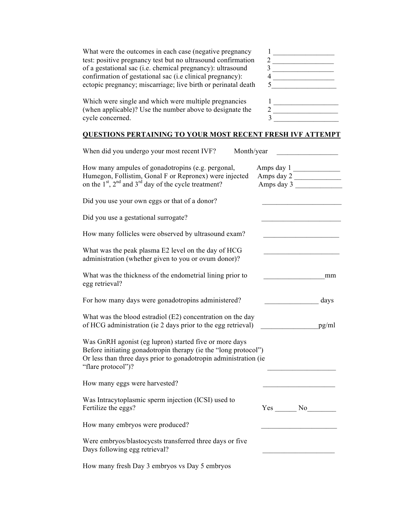| What were the outcomes in each case (negative pregnancy            |  |
|--------------------------------------------------------------------|--|
| test: positive pregnancy test but no ultrasound confirmation       |  |
| of a gestational sac ( <i>i.e.</i> chemical pregnancy): ultrasound |  |
| confirmation of gestational sac ( <i>i.e clinical pregnancy</i> ): |  |
| ectopic pregnancy; miscarriage; live birth or perinatal death      |  |

What were the outcomes in each case (negative pregnancy 1 \_\_\_\_\_\_\_\_\_\_\_\_\_\_\_\_\_ test: positive pregnancy test but no ultrasound confirmation 2 \_\_\_\_\_\_\_\_\_\_\_\_\_\_\_\_\_  $\overline{\mathbf{3}}$   $\overline{\mathbf{1}$ 4  $\overline{\phantom{a} \phantom{a} \phantom{a} \phantom{a} \phantom{a} \phantom{a} \phantom{a} \phantom{a} \phantom{a} \phantom{a} \phantom{a} \phantom{a} \phantom{a} \phantom{a} \phantom{a} \phantom{a} \phantom{a} \phantom{a} \phantom{a} \phantom{a} \phantom{a} \phantom{a} \phantom{a} \phantom{a} \phantom{a} \phantom{a} \phantom{a} \phantom{a} \phantom{a} \phantom{a} \phantom{a} \phantom{a} \phantom{a} \phantom{a} \phantom{a} \phantom{a$ 

Which were single and which were multiple pregnancies  $\frac{1}{2}$ (when applicable)? Use the number above to designate the cycle concerned.  $3 \overline{)}$ 

## **QUESTIONS PERTAINING TO YOUR MOST RECENT FRESH IVF ATTEMPT**

| When did you undergo your most recent IVF?<br>Month/year                                                                                                                                                            |                                        |
|---------------------------------------------------------------------------------------------------------------------------------------------------------------------------------------------------------------------|----------------------------------------|
| How many ampules of gonadotropins (e.g. pergonal,<br>Humegon, Follistim, Gonal F or Repronex) were injected<br>on the 1 <sup>st</sup> , 2 <sup>nd</sup> and 3 <sup>rd</sup> day of the cycle treatment?             | Amps day 1<br>Amps day 2<br>Amps day 3 |
| Did you use your own eggs or that of a donor?                                                                                                                                                                       |                                        |
| Did you use a gestational surrogate?                                                                                                                                                                                |                                        |
| How many follicles were observed by ultrasound exam?                                                                                                                                                                |                                        |
| What was the peak plasma E2 level on the day of HCG<br>administration (whether given to you or ovum donor)?                                                                                                         |                                        |
| What was the thickness of the endometrial lining prior to<br>egg retrieval?                                                                                                                                         | mm                                     |
| For how many days were gonadotropins administered?                                                                                                                                                                  | days                                   |
| What was the blood estradiol (E2) concentration on the day<br>of HCG administration (ie 2 days prior to the egg retrieval)                                                                                          | pg/ml                                  |
| Was GnRH agonist (eg lupron) started five or more days<br>Before initiating gonadotropin therapy (ie the "long protocol")<br>Or less than three days prior to gonadotropin administration (ie<br>"flare protocol")? |                                        |
| How many eggs were harvested?                                                                                                                                                                                       |                                        |
| Was Intracytoplasmic sperm injection (ICSI) used to<br>Fertilize the eggs?                                                                                                                                          | Yes No                                 |
| How many embryos were produced?                                                                                                                                                                                     |                                        |
| Were embryos/blastocycsts transferred three days or five<br>Days following egg retrieval?                                                                                                                           |                                        |
| How many fresh Day 3 embryos vs Day 5 embryos                                                                                                                                                                       |                                        |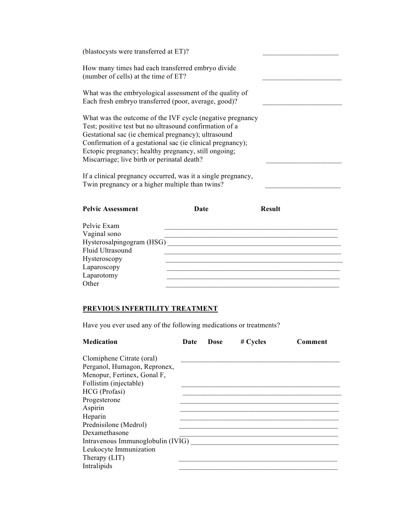| (blastocysts were transferred at ET)?                                                                                                                                                                                                                                                                                                            |  |
|--------------------------------------------------------------------------------------------------------------------------------------------------------------------------------------------------------------------------------------------------------------------------------------------------------------------------------------------------|--|
| How many times had each transferred embryo divide<br>(number of cells) at the time of ET?                                                                                                                                                                                                                                                        |  |
| What was the embryological assessment of the quality of<br>Each fresh embryo transferred (poor, average, good)?                                                                                                                                                                                                                                  |  |
| What was the outcome of the IVF cycle (negative pregnancy<br>Test; positive test but no ultrasound confirmation of a<br>Gestational sac (ie chemical pregnancy); ultrasound<br>Confirmation of a gestational sac (ie clinical pregnancy);<br>Ectopic pregnancy; healthy pregnancy, still ongoing;<br>Miscarriage; live birth or perinatal death? |  |
| If a clinical pregnancy occurred, was it a single pregnancy,<br>Twin pregnancy or a higher multiple than twins?                                                                                                                                                                                                                                  |  |

| <b>Pelvic Assessment</b>  | Date | <b>Result</b> |  |
|---------------------------|------|---------------|--|
|                           |      |               |  |
| Pelvic Exam               |      |               |  |
| Vaginal sono              |      |               |  |
| Hysterosalpingogram (HSG) |      |               |  |
| Fluid Ultrasound          |      |               |  |
| Hysteroscopy              |      |               |  |
| Laparoscopy               |      |               |  |
| Laparotomy                |      |               |  |
| Other                     |      |               |  |
|                           |      |               |  |

## **PREVIOUS INFERTILITY TREATMENT**

Have you ever used any of the following medications or treatments?

| <b>Medication</b>                                                                        | Date | Dose | # Cycles | Comment |
|------------------------------------------------------------------------------------------|------|------|----------|---------|
| Clomiphene Citrate (oral)<br>Perganol, Humagon, Repronex,<br>Menopur, Fertinex, Gonal F, |      |      |          |         |
| Follistim (injectable)<br>HCG (Profasi)                                                  |      |      |          |         |
| Progesterone                                                                             |      |      |          |         |
| Aspirin<br>Heparin                                                                       |      |      |          |         |
| Prednisilone (Medrol)                                                                    |      |      |          |         |
| Dexamethasone<br>Intravenous Immunoglobulin (IVIG)                                       |      |      |          |         |
| Leukocyte Immunization<br>Therapy (LIT)                                                  |      |      |          |         |
| Intralipids                                                                              |      |      |          |         |